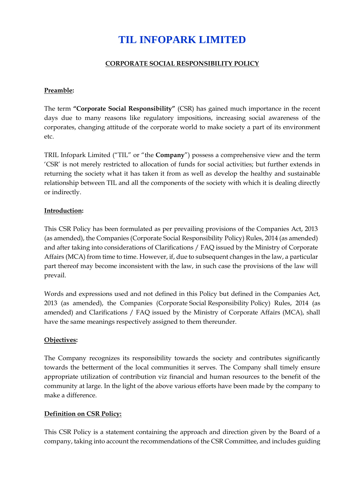# **CORPORATE SOCIAL RESPONSIBILITY POLICY**

#### **Preamble:**

The term **"Corporate Social Responsibility"** (CSR) has gained much importance in the recent days due to many reasons like regulatory impositions, increasing social awareness of the corporates, changing attitude of the corporate world to make society a part of its environment etc.

TRIL Infopark Limited ("TIL" or "the **Company**") possess a comprehensive view and the term 'CSR' is not merely restricted to allocation of funds for social activities; but further extends in returning the society what it has taken it from as well as develop the healthy and sustainable relationship between TIL and all the components of the society with which it is dealing directly or indirectly.

# **Introduction:**

This CSR Policy has been formulated as per prevailing provisions of the Companies Act, 2013 (as amended), the Companies (Corporate Social Responsibility Policy) Rules, 2014 (as amended) and after taking into considerations of Clarifications / FAQ issued by the Ministry of Corporate Affairs (MCA) from time to time. However, if, due to subsequent changes in the law, a particular part thereof may become inconsistent with the law, in such case the provisions of the law will prevail.

Words and expressions used and not defined in this Policy but defined in the Companies Act, 2013 (as amended), the Companies (Corporate Social Responsibility Policy) Rules, 2014 (as amended) and Clarifications / FAQ issued by the Ministry of Corporate Affairs (MCA), shall have the same meanings respectively assigned to them thereunder.

# **Objectives:**

The Company recognizes its responsibility towards the society and contributes significantly towards the betterment of the local communities it serves. The Company shall timely ensure appropriate utilization of contribution viz financial and human resources to the benefit of the community at large. In the light of the above various efforts have been made by the company to make a difference.

# **Definition on CSR Policy:**

This CSR Policy is a statement containing the approach and direction given by the Board of a company, taking into account the recommendations of the CSR Committee, and includes guiding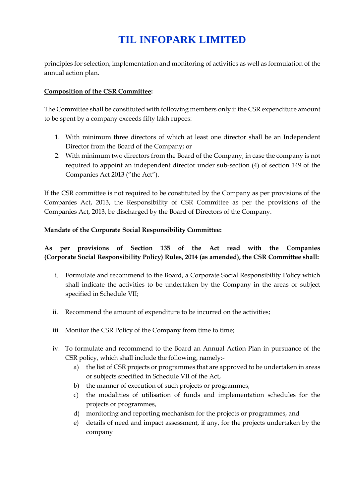principles for selection, implementation and monitoring of activities as well as formulation of the annual action plan.

# **Composition of the CSR Committee:**

The Committee shall be constituted with following members only if the CSR expenditure amount to be spent by a company exceeds fifty lakh rupees:

- 1. With minimum three directors of which at least one director shall be an Independent Director from the Board of the Company; or
- 2. With minimum two directors from the Board of the Company, in case the company is not required to appoint an independent director under sub-section (4) of section 149 of the Companies Act 2013 ("the Act").

If the CSR committee is not required to be constituted by the Company as per provisions of the Companies Act, 2013, the Responsibility of CSR Committee as per the provisions of the Companies Act, 2013, be discharged by the Board of Directors of the Company.

# **Mandate of the Corporate Social Responsibility Committee:**

# **As per provisions of Section 135 of the Act read with the Companies (Corporate Social Responsibility Policy) Rules, 2014 (as amended), the CSR Committee shall:**

- i. Formulate and recommend to the Board, a Corporate Social Responsibility Policy which shall indicate the activities to be undertaken by the Company in the areas or subject specified in Schedule VII;
- ii. Recommend the amount of expenditure to be incurred on the activities;
- iii. Monitor the CSR Policy of the Company from time to time;
- iv. To formulate and recommend to the Board an Annual Action Plan in pursuance of the CSR policy, which shall include the following, namely:
	- a) the list of CSR projects or programmes that are approved to be undertaken in areas or subjects specified in Schedule VII of the Act,
	- b) the manner of execution of such projects or programmes,
	- c) the modalities of utilisation of funds and implementation schedules for the projects or programmes,
	- d) monitoring and reporting mechanism for the projects or programmes, and
	- e) details of need and impact assessment, if any, for the projects undertaken by the company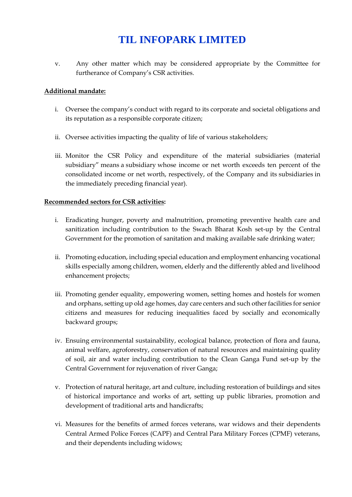v. Any other matter which may be considered appropriate by the Committee for furtherance of Company's CSR activities.

#### **Additional mandate:**

- i. Oversee the company's conduct with regard to its corporate and societal obligations and its reputation as a responsible corporate citizen;
- ii. Oversee activities impacting the quality of life of various stakeholders;
- iii. Monitor the CSR Policy and expenditure of the material subsidiaries (material subsidiary" means a subsidiary whose income or net worth exceeds ten percent of the consolidated income or net worth, respectively, of the Company and its subsidiaries in the immediately preceding financial year).

#### **Recommended sectors for CSR activities:**

- i. Eradicating hunger, poverty and malnutrition, promoting preventive health care and sanitization including contribution to the Swach Bharat Kosh set-up by the Central Government for the promotion of sanitation and making available safe drinking water;
- ii. Promoting education, including special education and employment enhancing vocational skills especially among children, women, elderly and the differently abled and livelihood enhancement projects;
- iii. Promoting gender equality, empowering women, setting homes and hostels for women and orphans, setting up old age homes, day care centers and such other facilities for senior citizens and measures for reducing inequalities faced by socially and economically backward groups;
- iv. Ensuing environmental sustainability, ecological balance, protection of flora and fauna, animal welfare, agroforestry, conservation of natural resources and maintaining quality of soil, air and water including contribution to the Clean Ganga Fund set-up by the Central Government for rejuvenation of river Ganga;
- v. Protection of natural heritage, art and culture, including restoration of buildings and sites of historical importance and works of art, setting up public libraries, promotion and development of traditional arts and handicrafts;
- vi. Measures for the benefits of armed forces veterans, war widows and their dependents Central Armed Police Forces (CAPF) and Central Para Military Forces (CPMF) veterans, and their dependents including widows;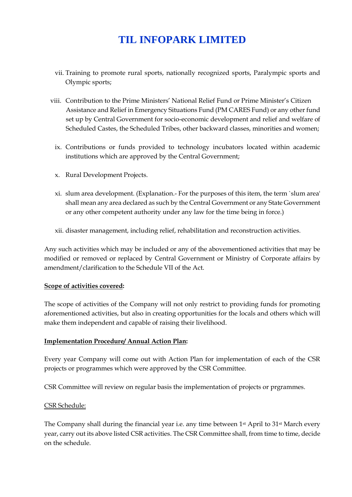- vii. Training to promote rural sports, nationally recognized sports, Paralympic sports and Olympic sports;
- viii. Contribution to the Prime Ministers' National Relief Fund or Prime Minister's Citizen Assistance and Relief in Emergency Situations Fund (PM CARES Fund) or any other fund set up by Central Government for socio-economic development and relief and welfare of Scheduled Castes, the Scheduled Tribes, other backward classes, minorities and women;
	- ix. Contributions or funds provided to technology incubators located within academic institutions which are approved by the Central Government;
	- x. Rural Development Projects.
	- xi. slum area development. (Explanation.- For the purposes of this item, the term `slum area' shall mean any area declared as such by the Central Government or any State Government or any other competent authority under any law for the time being in force.)
	- xii. disaster management, including relief, rehabilitation and reconstruction activities.

Any such activities which may be included or any of the abovementioned activities that may be modified or removed or replaced by Central Government or Ministry of Corporate affairs by amendment/clarification to the Schedule VII of the Act.

#### **Scope of activities covered:**

The scope of activities of the Company will not only restrict to providing funds for promoting aforementioned activities, but also in creating opportunities for the locals and others which will make them independent and capable of raising their livelihood.

#### **Implementation Procedure/ Annual Action Plan:**

Every year Company will come out with Action Plan for implementation of each of the CSR projects or programmes which were approved by the CSR Committee.

CSR Committee will review on regular basis the implementation of projects or prgrammes.

# CSR Schedule:

The Company shall during the financial year i.e. any time between 1<sup>st</sup> April to 31<sup>st</sup> March every year, carry out its above listed CSR activities. The CSR Committee shall, from time to time, decide on the schedule.